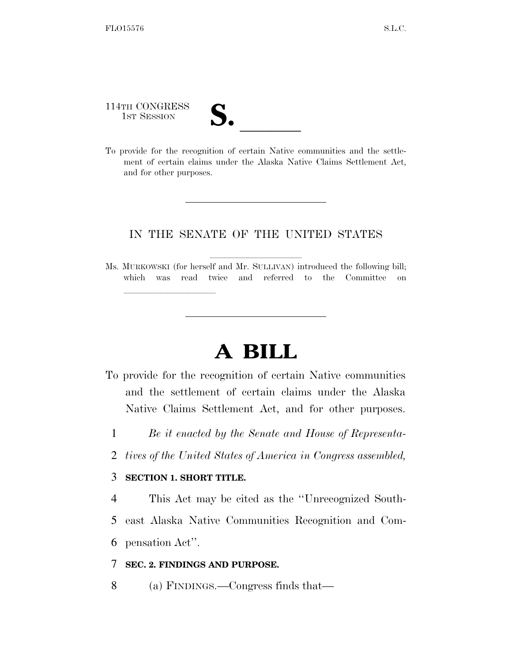114TH CONGRESS 114TH CONGRESS<br>
1ST SESSION<br>
To provide for the recognition of certain Native communities and the settle-

lle and a second control of the second control of the second control of the second control of the second control of the second control of the second control of the second control of the second control of the second control

ment of certain claims under the Alaska Native Claims Settlement Act, and for other purposes.

### IN THE SENATE OF THE UNITED STATES

Ms. MURKOWSKI (for herself and Mr. SULLIVAN) introduced the following bill; which was read twice and referred to the Committee on

# **A BILL**

- To provide for the recognition of certain Native communities and the settlement of certain claims under the Alaska Native Claims Settlement Act, and for other purposes.
	- 1 *Be it enacted by the Senate and House of Representa-*
	- 2 *tives of the United States of America in Congress assembled,*

#### 3 **SECTION 1. SHORT TITLE.**

4 This Act may be cited as the ''Unrecognized South-

5 east Alaska Native Communities Recognition and Com-

6 pensation Act''.

#### 7 **SEC. 2. FINDINGS AND PURPOSE.**

8 (a) FINDINGS.—Congress finds that—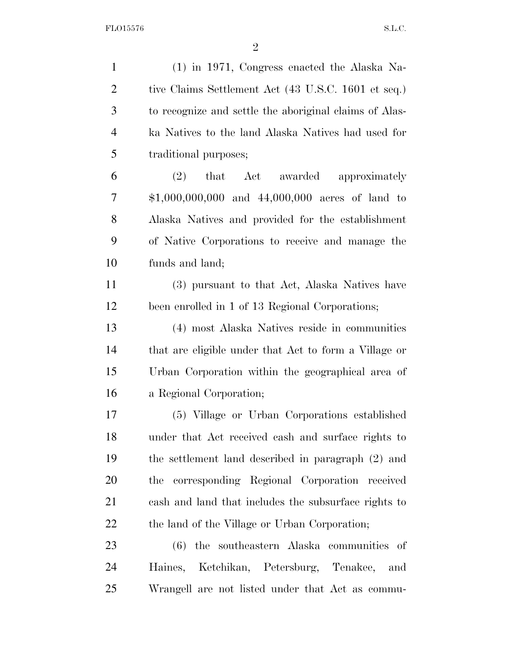(1) in 1971, Congress enacted the Alaska Na-2 tive Claims Settlement Act (43 U.S.C. 1601 et seq.) to recognize and settle the aboriginal claims of Alas- ka Natives to the land Alaska Natives had used for traditional purposes; (2) that Act awarded approximately \$1,000,000,000 and 44,000,000 acres of land to Alaska Natives and provided for the establishment of Native Corporations to receive and manage the funds and land; (3) pursuant to that Act, Alaska Natives have been enrolled in 1 of 13 Regional Corporations; (4) most Alaska Natives reside in communities that are eligible under that Act to form a Village or Urban Corporation within the geographical area of a Regional Corporation; (5) Village or Urban Corporations established under that Act received cash and surface rights to the settlement land described in paragraph (2) and the corresponding Regional Corporation received cash and land that includes the subsurface rights to 22 the land of the Village or Urban Corporation; (6) the southeastern Alaska communities of Haines, Ketchikan, Petersburg, Tenakee, and Wrangell are not listed under that Act as commu-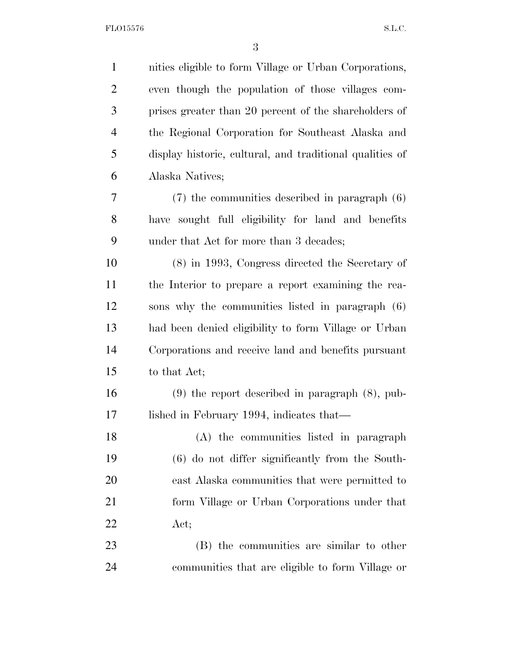| $\mathbf{1}$   | nities eligible to form Village or Urban Corporations,   |
|----------------|----------------------------------------------------------|
| $\overline{2}$ | even though the population of those villages com-        |
| 3              | prises greater than 20 percent of the shareholders of    |
| $\overline{4}$ | the Regional Corporation for Southeast Alaska and        |
| 5              | display historic, cultural, and traditional qualities of |
| 6              | Alaska Natives;                                          |
| 7              | $(7)$ the communities described in paragraph $(6)$       |
| 8              | have sought full eligibility for land and benefits       |
| 9              | under that Act for more than 3 decades;                  |
| 10             | $(8)$ in 1993, Congress directed the Secretary of        |
| 11             | the Interior to prepare a report examining the rea-      |
| 12             | sons why the communities listed in paragraph (6)         |
| 13             | had been denied eligibility to form Village or Urban     |
| 14             | Corporations and receive land and benefits pursuant      |
| 15             | to that Act;                                             |
| 16             | $(9)$ the report described in paragraph $(8)$ , pub-     |
| 17             | lished in February 1994, indicates that—                 |
| 18             | (A) the communities listed in paragraph                  |
| 19             | $(6)$ do not differ significantly from the South-        |
| 20             | east Alaska communities that were permitted to           |
| 21             | form Village or Urban Corporations under that            |
| 22             | Act;                                                     |
| 23             | (B) the communities are similar to other                 |
| 24             | communities that are eligible to form Village or         |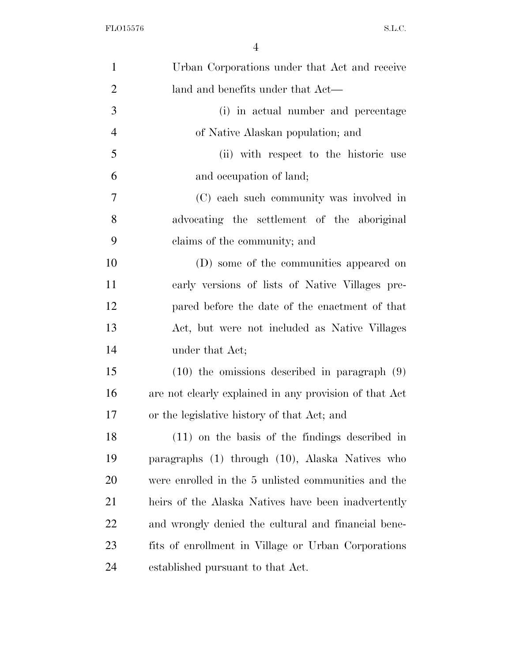| $\mathbf{1}$   | Urban Corporations under that Act and receive          |
|----------------|--------------------------------------------------------|
| $\overline{2}$ | land and benefits under that Act—                      |
| 3              | (i) in actual number and percentage                    |
| $\overline{4}$ | of Native Alaskan population; and                      |
| 5              | (ii) with respect to the historic use                  |
| 6              | and occupation of land;                                |
| $\overline{7}$ | (C) each such community was involved in                |
| 8              | advocating the settlement of the aboriginal            |
| 9              | claims of the community; and                           |
| 10             | (D) some of the communities appeared on                |
| 11             | early versions of lists of Native Villages pre-        |
| 12             | pared before the date of the enactment of that         |
| 13             | Act, but were not included as Native Villages          |
| 14             | under that Act;                                        |
| 15             | $(10)$ the omissions described in paragraph $(9)$      |
| 16             | are not clearly explained in any provision of that Act |
| 17             | or the legislative history of that Act; and            |
| 18             | $(11)$ on the basis of the findings described in       |
| 19             | paragraphs (1) through (10), Alaska Natives who        |
| 20             | were enrolled in the 5 unlisted communities and the    |
| 21             | heirs of the Alaska Natives have been inadvertently    |
| 22             | and wrongly denied the cultural and financial bene-    |
| 23             | fits of enrollment in Village or Urban Corporations    |
| 24             | established pursuant to that Act.                      |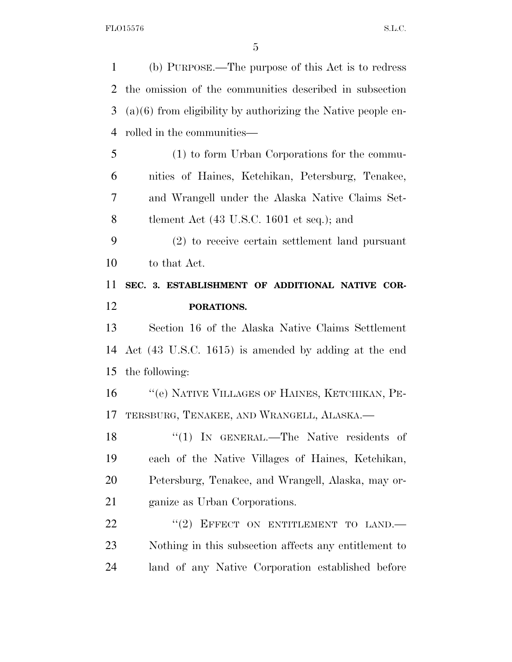| $\mathbf{1}$                     | (b) PURPOSE.—The purpose of this Act is to redress             |
|----------------------------------|----------------------------------------------------------------|
| 2                                | the omission of the communities described in subsection        |
| 3                                | $(a)(6)$ from eligibility by authorizing the Native people en- |
| $\overline{4}$                   | rolled in the communities—                                     |
| 5                                | (1) to form Urban Corporations for the commu-                  |
| 6                                | nities of Haines, Ketchikan, Petersburg, Tenakee,              |
| 7                                | and Wrangell under the Alaska Native Claims Set-               |
| 8                                | tlement Act $(43 \text{ U.S.C. } 1601 \text{ et seq.});$ and   |
| 9                                | (2) to receive certain settlement land pursuant                |
| 10                               | to that Act.                                                   |
| 11                               | SEC. 3. ESTABLISHMENT OF ADDITIONAL NATIVE COR-                |
| 12                               | PORATIONS.                                                     |
|                                  |                                                                |
|                                  | Section 16 of the Alaska Native Claims Settlement              |
|                                  | Act (43 U.S.C. 1615) is amended by adding at the end           |
|                                  | the following:                                                 |
|                                  | "(e) NATIVE VILLAGES OF HAINES, KETCHIKAN, PE-                 |
|                                  | TERSBURG, TENAKEE, AND WRANGELL, ALASKA.                       |
| 13<br>14<br>15<br>16<br>17<br>18 | "(1) IN GENERAL.—The Native residents of                       |
| 19                               | each of the Native Villages of Haines, Ketchikan,              |
| 20                               | Petersburg, Tenakee, and Wrangell, Alaska, may or-             |
| 21                               | ganize as Urban Corporations.                                  |
| 22                               | EFFECT ON ENTITLEMENT TO LAND.<br>(2)                          |
| 23                               | Nothing in this subsection affects any entitlement to          |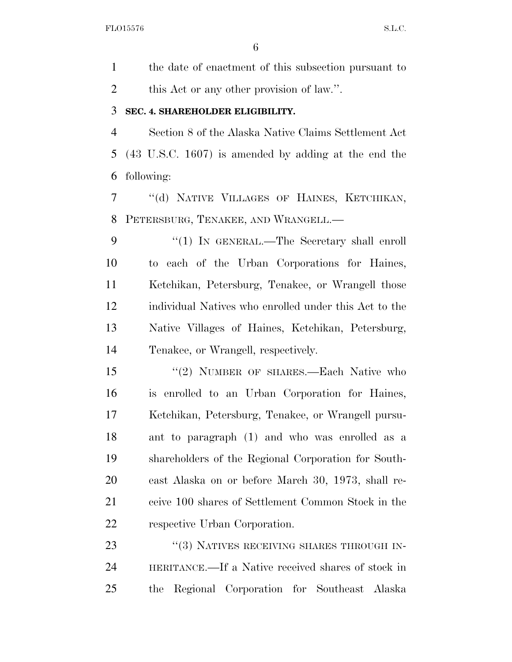the date of enactment of this subsection pursuant to 2 this Act or any other provision of law.".

#### **SEC. 4. SHAREHOLDER ELIGIBILITY.**

 Section 8 of the Alaska Native Claims Settlement Act (43 U.S.C. 1607) is amended by adding at the end the following:

 ''(d) NATIVE VILLAGES OF HAINES, KETCHIKAN, PETERSBURG, TENAKEE, AND WRANGELL.—

9 "(1) IN GENERAL.—The Secretary shall enroll to each of the Urban Corporations for Haines, Ketchikan, Petersburg, Tenakee, or Wrangell those individual Natives who enrolled under this Act to the Native Villages of Haines, Ketchikan, Petersburg, Tenakee, or Wrangell, respectively.

15 "(2) NUMBER OF SHARES.—Each Native who is enrolled to an Urban Corporation for Haines, Ketchikan, Petersburg, Tenakee, or Wrangell pursu- ant to paragraph (1) and who was enrolled as a shareholders of the Regional Corporation for South- east Alaska on or before March 30, 1973, shall re- ceive 100 shares of Settlement Common Stock in the respective Urban Corporation.

23 "(3) NATIVES RECEIVING SHARES THROUGH IN- HERITANCE.—If a Native received shares of stock in the Regional Corporation for Southeast Alaska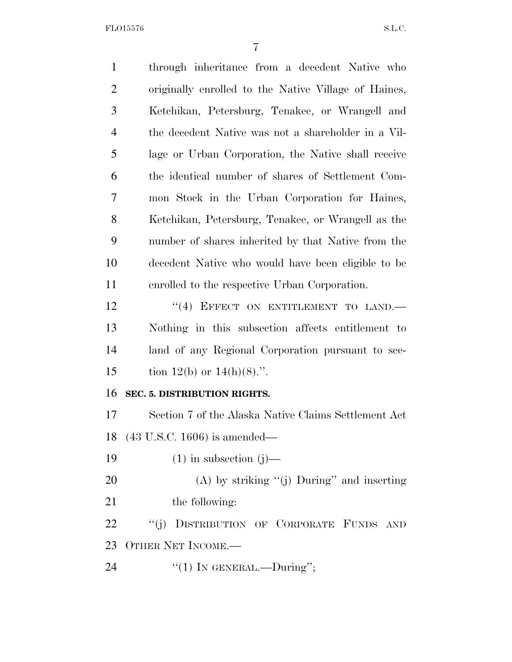FLO15576 S.L.C.

| $\mathbf{1}$   | through inheritance from a decedent Native who       |
|----------------|------------------------------------------------------|
| $\overline{2}$ | originally enrolled to the Native Village of Haines, |
| 3              | Ketchikan, Petersburg, Tenakee, or Wrangell and      |
| $\overline{4}$ | the decedent Native was not a shareholder in a Vil-  |
| 5              | lage or Urban Corporation, the Native shall receive  |
| 6              | the identical number of shares of Settlement Com-    |
| 7              | mon Stock in the Urban Corporation for Haines,       |
| 8              | Ketchikan, Petersburg, Tenakee, or Wrangell as the   |
| 9              | number of shares inherited by that Native from the   |
| 10             | decedent Native who would have been eligible to be   |
| 11             | enrolled to the respective Urban Corporation.        |
| 12             | "(4) EFFECT ON ENTITLEMENT TO LAND.                  |
| 13             | Nothing in this subsection affects entitlement to    |
| 14             | land of any Regional Corporation pursuant to sec-    |
| 15             | tion 12(b) or $14(h)(8)$ .".                         |
| 16             | SEC. 5. DISTRIBUTION RIGHTS.                         |
| 17             | Section 7 of the Alaska Native Claims Settlement Act |
|                | 18 (43 U.S.C. 1606) is amended—                      |
| 19             | $(1)$ in subsection $(j)$ —                          |
| 20             | (A) by striking " $(j)$ During" and inserting        |
| 21             | the following:                                       |
| 22             | DISTRIBUTION OF CORPORATE FUNDS AND<br>``(j)         |
| 23             | OTHER NET INCOME.-                                   |
| 24             | "(1) IN GENERAL.—During";                            |
|                |                                                      |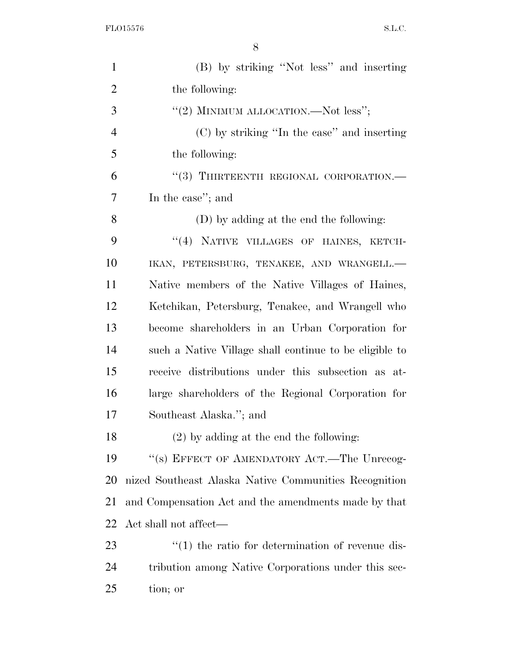FLO15576 S.L.C.

| $\mathbf{1}$   | (B) by striking "Not less" and inserting                         |
|----------------|------------------------------------------------------------------|
| $\overline{2}$ | the following:                                                   |
| 3              | "(2) MINIMUM ALLOCATION.—Not less";                              |
| $\overline{4}$ | (C) by striking "In the case" and inserting                      |
| 5              | the following:                                                   |
| 6              | "(3) THIRTEENTH REGIONAL CORPORATION.—                           |
| 7              | In the case"; and                                                |
| 8              | (D) by adding at the end the following:                          |
| 9              | "(4) NATIVE VILLAGES OF HAINES, KETCH-                           |
| 10             | IKAN, PETERSBURG, TENAKEE, AND WRANGELL.-                        |
| 11             | Native members of the Native Villages of Haines,                 |
| 12             | Ketchikan, Petersburg, Tenakee, and Wrangell who                 |
| 13             | become shareholders in an Urban Corporation for                  |
| 14             | such a Native Village shall continue to be eligible to           |
| 15             | receive distributions under this subsection as at-               |
| 16             | large shareholders of the Regional Corporation for               |
| 17             | Southeast Alaska."; and                                          |
| 18             | $(2)$ by adding at the end the following:                        |
| 19             | "(s) EFFECT OF AMENDATORY ACT.—The Unrecog-                      |
| 20             | nized Southeast Alaska Native Communities Recognition            |
| 21             | and Compensation Act and the amendments made by that             |
| 22             | Act shall not affect—                                            |
| 23             | $\cdot\cdot\cdot(1)$ the ratio for determination of revenue dis- |
| 24             | tribution among Native Corporations under this sec-              |
| 25             | tion; or                                                         |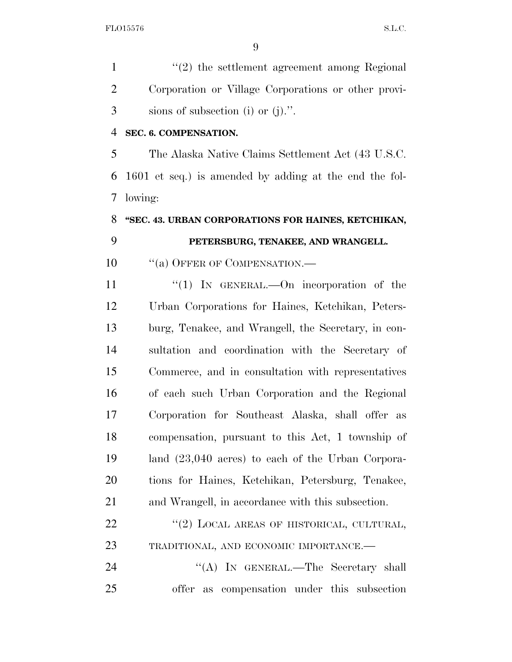1 ''(2) the settlement agreement among Regional Corporation or Village Corporations or other provi-sions of subsection (i) or (j).''.

#### **SEC. 6. COMPENSATION.**

 The Alaska Native Claims Settlement Act (43 U.S.C. 1601 et seq.) is amended by adding at the end the fol-lowing:

## **''SEC. 43. URBAN CORPORATIONS FOR HAINES, KETCHIKAN, PETERSBURG, TENAKEE, AND WRANGELL.**

10 "(a) OFFER OF COMPENSATION.—

 ''(1) IN GENERAL.—On incorporation of the Urban Corporations for Haines, Ketchikan, Peters- burg, Tenakee, and Wrangell, the Secretary, in con- sultation and coordination with the Secretary of Commerce, and in consultation with representatives of each such Urban Corporation and the Regional Corporation for Southeast Alaska, shall offer as compensation, pursuant to this Act, 1 township of land (23,040 acres) to each of the Urban Corpora- tions for Haines, Ketchikan, Petersburg, Tenakee, and Wrangell, in accordance with this subsection.

22 "(2) LOCAL AREAS OF HISTORICAL, CULTURAL, TRADITIONAL, AND ECONOMIC IMPORTANCE.—

24 ''(A) IN GENERAL.—The Secretary shall offer as compensation under this subsection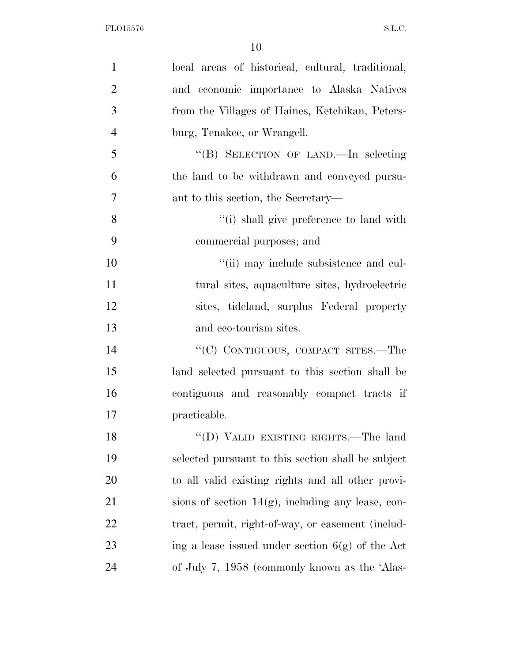| $\mathbf{1}$   | local areas of historical, cultural, traditional,    |
|----------------|------------------------------------------------------|
| $\overline{2}$ | and economic importance to Alaska Natives            |
| 3              | from the Villages of Haines, Ketchikan, Peters-      |
| $\overline{4}$ | burg, Tenakee, or Wrangell.                          |
| 5              | "(B) SELECTION OF LAND.—In selecting                 |
| 6              | the land to be withdrawn and conveyed pursu-         |
| $\overline{7}$ | ant to this section, the Secretary—                  |
| 8              | "(i) shall give preference to land with              |
| 9              | commercial purposes; and                             |
| 10             | "(ii) may include subsistence and cul-               |
| 11             | tural sites, aquaculture sites, hydroelectric        |
| 12             | sites, tideland, surplus Federal property            |
| 13             | and eco-tourism sites.                               |
| 14             | "(C) CONTIGUOUS, COMPACT SITES.—The                  |
| 15             | land selected pursuant to this section shall be      |
| 16             | contiguous and reasonably compact tracts if          |
| 17             | practicable.                                         |
| 18             | "(D) VALID EXISTING RIGHTS.—The land                 |
| 19             | selected pursuant to this section shall be subject   |
| 20             | to all valid existing rights and all other provi-    |
| 21             | sions of section $14(g)$ , including any lease, con- |
| 22             | tract, permit, right-of-way, or easement (includ-    |
| 23             | ing a lease issued under section $6(g)$ of the Act   |
| 24             | of July 7, 1958 (commonly known as the 'Alas-        |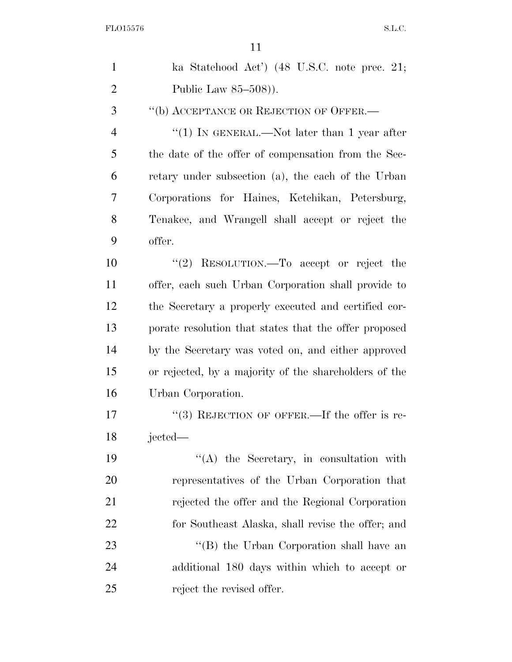| $\mathbf{1}$   | ka Statehood Act') $(48 \text{ U.S.C. note prec. } 21;$ |
|----------------|---------------------------------------------------------|
| $\overline{2}$ | Public Law $85-508$ ).                                  |
| 3              | "(b) ACCEPTANCE OR REJECTION OF OFFER.—                 |
| 4              | "(1) IN GENERAL.—Not later than 1 year after            |
| 5              | the date of the offer of compensation from the Sec-     |
| 6              | retary under subsection (a), the each of the Urban      |
| 7              | Corporations for Haines, Ketchikan, Petersburg,         |
| 8              | Tenakee, and Wrangell shall accept or reject the        |
| 9              | offer.                                                  |
| 10             | "(2) RESOLUTION.—To accept or reject the                |
| 11             | offer, each such Urban Corporation shall provide to     |
| 12             | the Secretary a properly executed and certified cor-    |
| 13             | porate resolution that states that the offer proposed   |
| 14             | by the Secretary was voted on, and either approved      |
| 15             | or rejected, by a majority of the shareholders of the   |
| 16             | Urban Corporation.                                      |
| 17             | $\lq(3)$ REJECTION OF OFFER.—If the offer is re-        |
| 18             | jected—                                                 |
| 19             | $\lq\lq$ the Secretary, in consultation with            |
| 20             | representatives of the Urban Corporation that           |
| 21             | rejected the offer and the Regional Corporation         |
| 22             | for Southeast Alaska, shall revise the offer; and       |
| 23             | "(B) the Urban Corporation shall have an                |
| 24             | additional 180 days within which to accept or           |
| 25             | reject the revised offer.                               |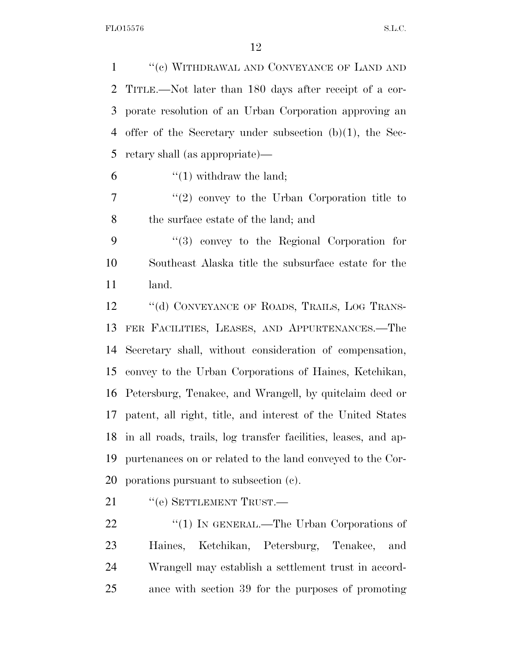1 "(e) WITHDRAWAL AND CONVEYANCE OF LAND AND TITLE.—Not later than 180 days after receipt of a cor- porate resolution of an Urban Corporation approving an offer of the Secretary under subsection (b)(1), the Sec-retary shall (as appropriate)—

6  $\frac{4}{1}$  withdraw the land;

 ''(2) convey to the Urban Corporation title to the surface estate of the land; and

 ''(3) convey to the Regional Corporation for Southeast Alaska title the subsurface estate for the land.

12 "(d) CONVEYANCE OF ROADS, TRAILS, LOG TRANS- FER FACILITIES, LEASES, AND APPURTENANCES.—The Secretary shall, without consideration of compensation, convey to the Urban Corporations of Haines, Ketchikan, Petersburg, Tenakee, and Wrangell, by quitclaim deed or patent, all right, title, and interest of the United States in all roads, trails, log transfer facilities, leases, and ap- purtenances on or related to the land conveyed to the Cor-porations pursuant to subsection (c).

21 "(e) SETTLEMENT TRUST.—

22 "(1) IN GENERAL.—The Urban Corporations of Haines, Ketchikan, Petersburg, Tenakee, and Wrangell may establish a settlement trust in accord-ance with section 39 for the purposes of promoting